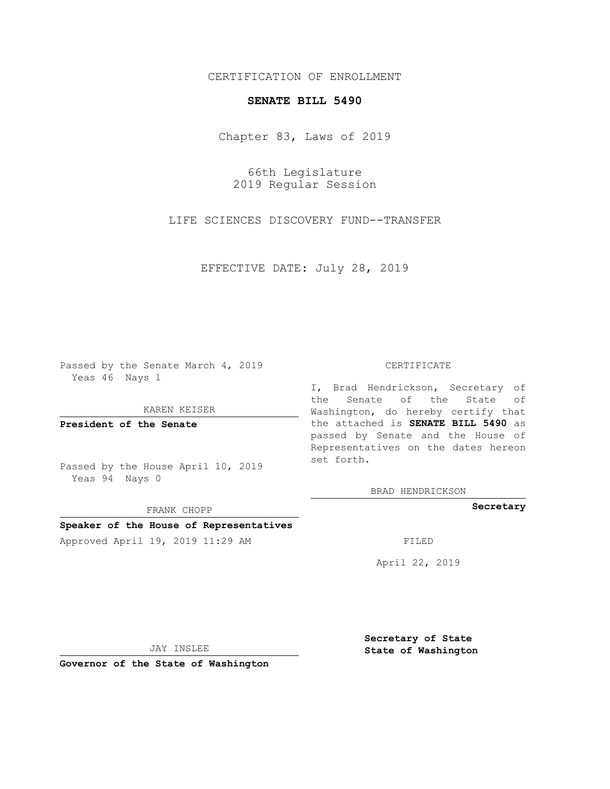### CERTIFICATION OF ENROLLMENT

# **SENATE BILL 5490**

Chapter 83, Laws of 2019

66th Legislature 2019 Regular Session

LIFE SCIENCES DISCOVERY FUND--TRANSFER

EFFECTIVE DATE: July 28, 2019

Passed by the Senate March 4, 2019 Yeas 46 Nays 1

KAREN KEISER

**President of the Senate**

Passed by the House April 10, 2019 Yeas 94 Nays 0

FRANK CHOPP

# **Speaker of the House of Representatives**

Approved April 19, 2019 11:29 AM FILED

#### CERTIFICATE

I, Brad Hendrickson, Secretary of the Senate of the State of Washington, do hereby certify that the attached is **SENATE BILL 5490** as passed by Senate and the House of Representatives on the dates hereon set forth.

BRAD HENDRICKSON

**Secretary**

April 22, 2019

JAY INSLEE

**Governor of the State of Washington**

**Secretary of State State of Washington**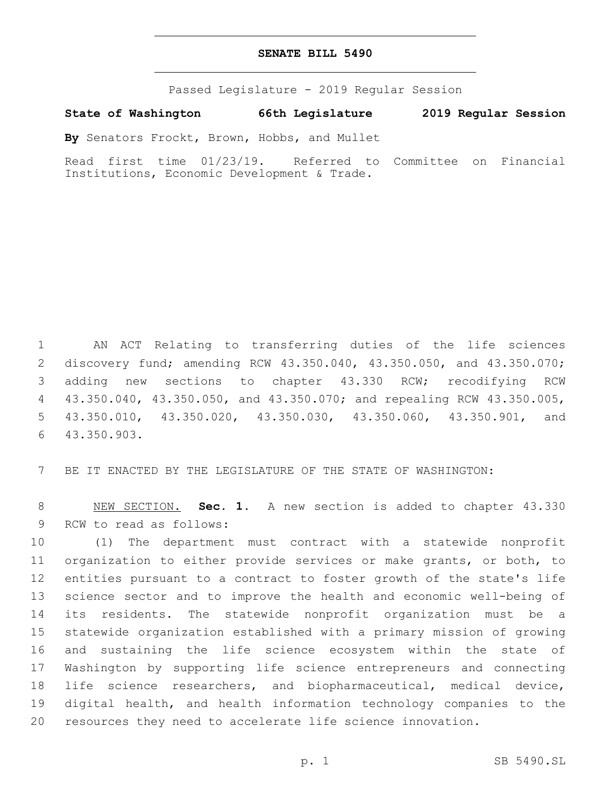#### **SENATE BILL 5490**

Passed Legislature - 2019 Regular Session

**State of Washington 66th Legislature 2019 Regular Session**

**By** Senators Frockt, Brown, Hobbs, and Mullet

Read first time 01/23/19. Referred to Committee on Financial Institutions, Economic Development & Trade.

 AN ACT Relating to transferring duties of the life sciences discovery fund; amending RCW 43.350.040, 43.350.050, and 43.350.070; adding new sections to chapter 43.330 RCW; recodifying RCW 43.350.040, 43.350.050, and 43.350.070; and repealing RCW 43.350.005, 43.350.010, 43.350.020, 43.350.030, 43.350.060, 43.350.901, and 43.350.903.6

BE IT ENACTED BY THE LEGISLATURE OF THE STATE OF WASHINGTON:

 NEW SECTION. **Sec. 1.** A new section is added to chapter 43.330 9 RCW to read as follows:

 (1) The department must contract with a statewide nonprofit organization to either provide services or make grants, or both, to entities pursuant to a contract to foster growth of the state's life science sector and to improve the health and economic well-being of its residents. The statewide nonprofit organization must be a statewide organization established with a primary mission of growing and sustaining the life science ecosystem within the state of Washington by supporting life science entrepreneurs and connecting life science researchers, and biopharmaceutical, medical device, digital health, and health information technology companies to the resources they need to accelerate life science innovation.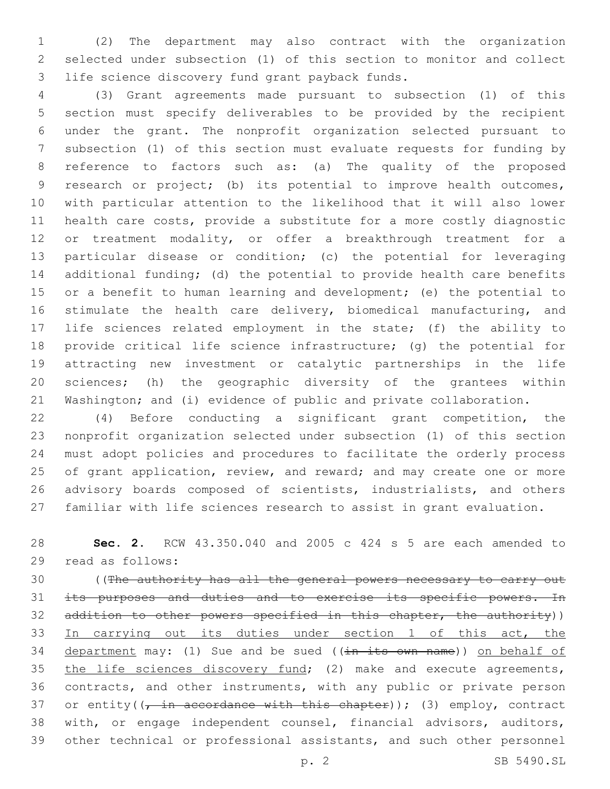(2) The department may also contract with the organization selected under subsection (1) of this section to monitor and collect 3 life science discovery fund grant payback funds.

 (3) Grant agreements made pursuant to subsection (1) of this section must specify deliverables to be provided by the recipient under the grant. The nonprofit organization selected pursuant to subsection (1) of this section must evaluate requests for funding by reference to factors such as: (a) The quality of the proposed research or project; (b) its potential to improve health outcomes, with particular attention to the likelihood that it will also lower health care costs, provide a substitute for a more costly diagnostic or treatment modality, or offer a breakthrough treatment for a particular disease or condition; (c) the potential for leveraging additional funding; (d) the potential to provide health care benefits 15 or a benefit to human learning and development; (e) the potential to 16 stimulate the health care delivery, biomedical manufacturing, and life sciences related employment in the state; (f) the ability to provide critical life science infrastructure; (g) the potential for attracting new investment or catalytic partnerships in the life sciences; (h) the geographic diversity of the grantees within Washington; and (i) evidence of public and private collaboration.

 (4) Before conducting a significant grant competition, the nonprofit organization selected under subsection (1) of this section must adopt policies and procedures to facilitate the orderly process 25 of grant application, review, and reward; and may create one or more 26 advisory boards composed of scientists, industrialists, and others familiar with life sciences research to assist in grant evaluation.

 **Sec. 2.** RCW 43.350.040 and 2005 c 424 s 5 are each amended to 29 read as follows:

30 ((The authority has all the general powers necessary to carry out 31 its purposes and duties and to exercise its specific powers. In 32 addition to other powers specified in this chapter, the authority)) 33 In carrying out its duties under section 1 of this act, the 34 department may: (1) Sue and be sued ((in its own name)) on behalf of 35 the life sciences discovery fund; (2) make and execute agreements, contracts, and other instruments, with any public or private person 37 or entity( $\left(\frac{1}{r} + \frac{1}{r}\right)$  accordance with this chapter)); (3) employ, contract with, or engage independent counsel, financial advisors, auditors, other technical or professional assistants, and such other personnel

p. 2 SB 5490.SL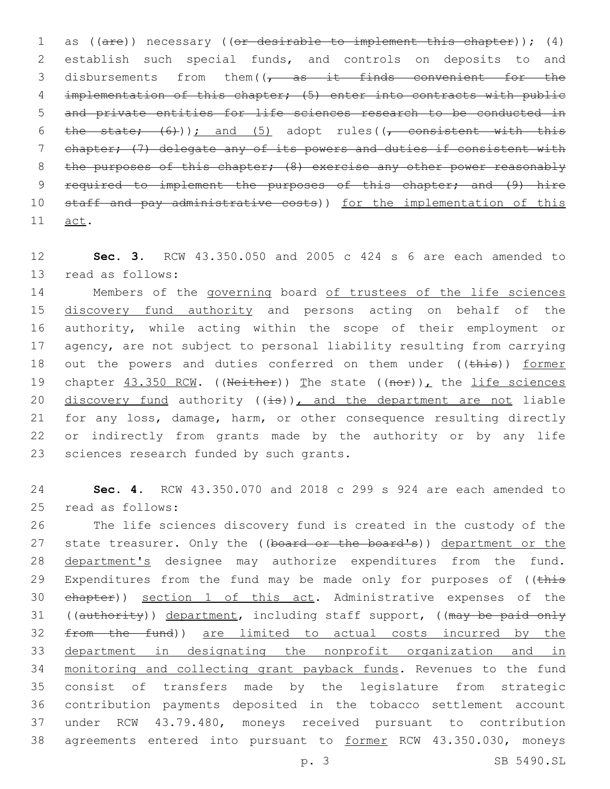1 as ((are)) necessary ((or desirable to implement this chapter)); (4) 2 establish such special funds, and controls on deposits to and 3 disbursements from them( $\sqrt{7}$  as it finds convenient for the 4 implementation of this chapter; (5) enter into contracts with public 5 and private entities for life sciences research to be conducted in 6 the state;  $(6)$ ); and (5) adopt rules((, consistent with this 7 chapter; (7) delegate any of its powers and duties if consistent with 8 the purposes of this chapter; (8) exercise any other power reasonably 9 required to implement the purposes of this chapter; and (9) hire 10 staff and pay administrative costs)) for the implementation of this 11 act.

12 **Sec. 3.** RCW 43.350.050 and 2005 c 424 s 6 are each amended to 13 read as follows:

14 Members of the governing board of trustees of the life sciences 15 discovery fund authority and persons acting on behalf of the 16 authority, while acting within the scope of their employment or 17 agency, are not subject to personal liability resulting from carrying 18 out the powers and duties conferred on them under ((this)) former 19 chapter  $43.350$  RCW. ((Neither)) The state ((nor)), the life sciences 20 discovery fund authority  $((\pm s))$ , and the department are not liable 21 for any loss, damage, harm, or other consequence resulting directly 22 or indirectly from grants made by the authority or by any life 23 sciences research funded by such grants.

24 **Sec. 4.** RCW 43.350.070 and 2018 c 299 s 924 are each amended to 25 read as follows:

 The life sciences discovery fund is created in the custody of the 27 state treasurer. Only the ((board or the board's)) department or the 28 department's designee may authorize expenditures from the fund. 29 Expenditures from the fund may be made only for purposes of ((this chapter)) section 1 of this act. Administrative expenses of the 31 ((authority)) department, including staff support, ((may be paid only from the fund)) are limited to actual costs incurred by the department in designating the nonprofit organization and in monitoring and collecting grant payback funds. Revenues to the fund consist of transfers made by the legislature from strategic contribution payments deposited in the tobacco settlement account under RCW 43.79.480, moneys received pursuant to contribution 38 agreements entered into pursuant to former RCW 43.350.030, moneys

p. 3 SB 5490.SL